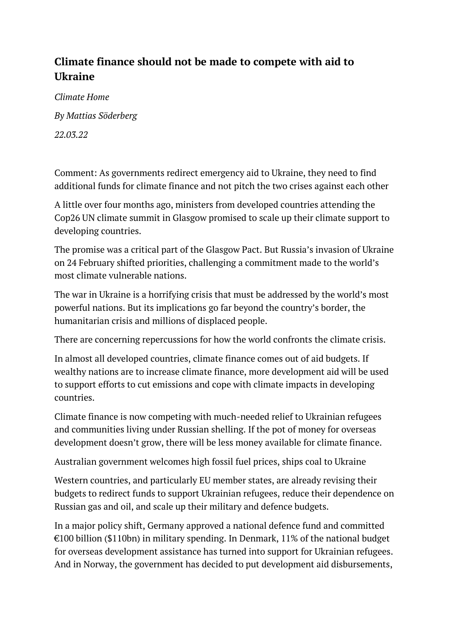## **Climate finance should not be made to compete with aid to Ukraine**

*Climate Home By Mattias Söderberg 22.03.22*

[Comment:](https://www.climatechangenews.com/comment/) As governments redirect emergency aid to Ukraine, they need to find additional funds for climate finance and not pitch the two crises against each other

A little over four months ago, ministers from developed countries attending the Cop26 UN climate summit in Glasgow promised to scale up their climate support to developing countries.

The promise was a critical part of the [Glasgow Pact](https://www.climatechangenews.com/2021/11/15/breakdown-glasgow-climate-pact/). But Russia's invasion of Ukraine on 24 February shifted priorities, challenging a commitment made to the world's most climate vulnerable nations.

The war in Ukraine is a horrifying crisis that must be addressed by the world's most powerful nations. But its implications go far beyond the country's border, the humanitarian crisis and millions of displaced people.

There are concerning repercussions for how the world confronts the climate crisis.

In almost all developed countries, climate finance comes out of aid budgets. If wealthy nations are to increase climate finance, more development aid will be used to support efforts to cut emissions and cope with climate impacts in developing countries.

Climate finance is now competing with much-needed relief to Ukrainian refugees and communities living under Russian shelling. If the pot of money for overseas development doesn't grow, there will be less money available for climate finance.

Australian [government welcomes high fossil fuel prices, ships coal to Ukraine](https://www.climatechangenews.com/2022/03/21/australian-government-welcomes-high-fossil-fuel-prices-ships-coal-to-ukraine/)

Western countries, and particularly EU member states, are already revising their budgets to redirect funds to support Ukrainian refugees, reduce their dependence on Russian gas and oil, and scale up their military and defence budgets.

In a major policy shift, Germany [approved](https://www.dw.com/en/germany-commits-100-billion-to-defense-spending/a-60933724) a national defence fund and committed €100 billion (\$110bn) in military spending. In Denmark, 11% of the national budget for overseas development assistance has [turned into support for Ukrainian refugees.](https://jyllands-posten.dk/politik/ECE13824468/ulandsbistanden-skal-betale-anslaaet-2-mia-kr-for-hjaelp-til-ukrainere-i-danmark/) And in Norway, the government has [decided to put development aid disbursements,](https://globalnyt.dk/bistanden-kort-norges-um-tager-to-uges-pause-for-at-faa-overblik-over-ukraine-situationen-i-kan-faa-to-timer-raser-noedhjaelpschef/)